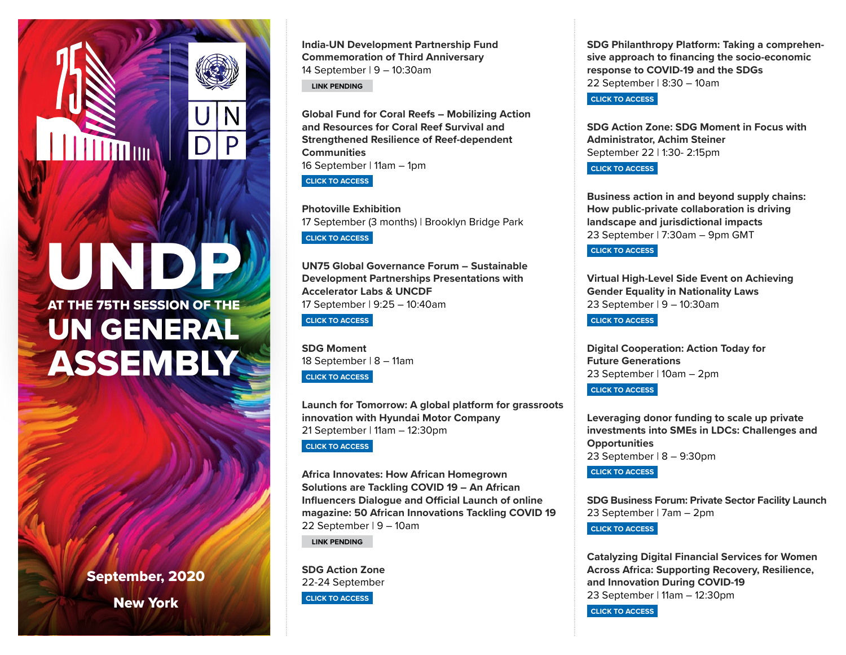UNDP AT THE 75TH SESSION OF THE UN GENERAL **ASSEMBLY** 

l III

September, 2020 New York

**India-UN Development Partnership Fund Commemoration of Third Anniversary** 14 September | 9 – 10:30am

**LINK PENDING**

**Global Fund for Coral Reefs – Mobilizing Action and Resources for Coral Reef Survival and Strengthened Resilience of Reef-dependent Communities** 16 September | 11am – 1pm

**[CLICK TO ACCESS](https://forms.office.com/Pages/ResponsePage.aspx?id=Xtvls0QpN0iZ9XSIrOVDGcXm6-RaDcJCpTViFcqNpMlUNDFOWDhVQUgzUkZNRkg5R0VaWUczVUtVWi4u)**

D

**Photoville Exhibition**  17 September (3 months) | Brooklyn Bridge Park **[CLICK TO ACCESS](https://photoville.nyc/far-reaching-fallout-covid-19/)**

**UN75 Global Governance Forum – Sustainable Development Partnerships Presentations with Accelerator Labs & UNCDF** 17 September | 9:25 – 10:40am

**[CLICK TO ACCESS](https://livestream.com/accounts/22723452/un75ggforumsept17)**

**SDG Moment** 18 September | 8 – 11am **[CLICK TO ACCESS](http://webtv.un.org/)**

**Launch for Tomorrow: A global platform for grassroots innovation with Hyundai Motor Company** 21 September | 11am – 12:30pm **[CLICK TO ACCESS](http://solutions.fortomorrow.org/)**

**Africa Innovates: How African Homegrown Solutions are Tackling COVID 19 – An African Influencers Dialogue and Official Launch of online magazine: 50 African Innovations Tackling COVID 19** 22 September | 9 – 10am

**LINK PENDING**

**SDG Action Zone** 22-24 September **[CLICK TO ACCESS](https://sdgactionzone.org/)**

**SDG Philanthropy Platform: Taking a comprehensive approach to financing the socio-economic response to COVID-19 and the SDGs** 22 September | 8:30 – 10am

**[CLICK TO ACCESS](mailto:philanthropy@undp.org?subject=Registration)**

**SDG Action Zone: SDG Moment in Focus with Administrator, Achim Steiner**  September 22 | 1:30- 2:15pm

**[CLICK TO ACCESS](https://sdgactionzone.org/)**

**Business action in and beyond supply chains: How public-private collaboration is driving landscape and jurisdictional impacts** 23 September | 7:30am – 9pm GMT

**[CLICK TO ACCESS](https://undp.zoom.us/webinar/register/WN_Xv3lBaH7SL-DZJP3wXxojg)**

**Virtual High-Level Side Event on Achieving Gender Equality in Nationality Laws**  23 September | 9 – 10:30am

**[CLICK TO ACCESS](https://us02web.zoom.us/webinar/register/WN_vikuQuA4QQqbFr0-0K00mQ)**

**Digital Cooperation: Action Today for Future Generations** 23 September | 10am – 2pm

**[CLICK TO ACCESS](https://www.sparkblue.org/UN75Digital)**

**Leveraging donor funding to scale up private investments into SMEs in LDCs: Challenges and Opportunities** 23 September | 8 – 9:30pm

**[CLICK TO ACCESS](https://undp.zoom.us/webinar/register/WN_Km9v_9tFRxCRPCVIVobCeQ)**

**SDG Business Forum: Private Sector Facility Launch** 23 September | 7am – 2pm

**[CLICK TO ACCESS](https://www.sdgbusinessforum.org/)**

**Catalyzing Digital Financial Services for Women Across Africa: Supporting Recovery, Resilience, and Innovation During COVID-19** 23 September | 11am – 12:30pm **[CLICK TO ACCESS](https://events.gatesfoundation.org/events/catalyzing-digital-financial-services-for-women-across-africa-supporting-recovery-resilience-and-inn/registration-55275cabbd8b42cebf6717ec9058bfff.aspx?ct=9d64cc2a-60c8-429b-93b2-68d82cbe0ca9&fqp=true)**